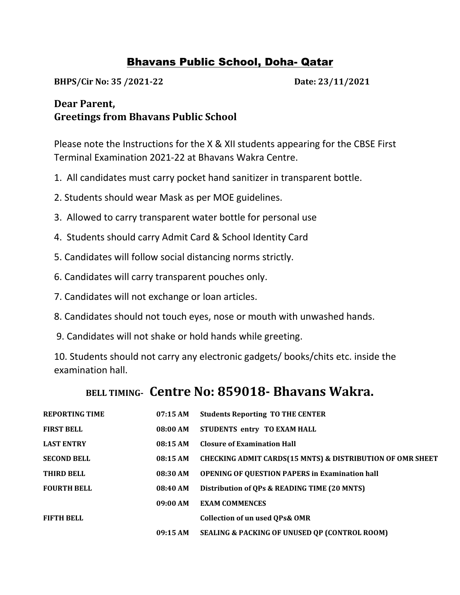## Bhavans Public School, Doha- Qatar

**BHPS/Cir No: 35 /2021-22 Date: 23/11/2021**

## **Dear Parent, Greetings from Bhavans Public School**

Please note the Instructions for the X & XII students appearing for the CBSE First Terminal Examination 2021-22 at Bhavans Wakra Centre.

- 1. All candidates must carry pocket hand sanitizer in transparent bottle.
- 2. Students should wear Mask as per MOE guidelines.
- 3. Allowed to carry transparent water bottle for personal use
- 4. Students should carry Admit Card & School Identity Card
- 5. Candidates will follow social distancing norms strictly.
- 6. Candidates will carry transparent pouches only.
- 7. Candidates will not exchange or loan articles.
- 8. Candidates should not touch eyes, nose or mouth with unwashed hands.
- 9. Candidates will not shake or hold hands while greeting.

10. Students should not carry any electronic gadgets/ books/chits etc. inside the examination hall.

## **BELL TIMING- Centre No: 859018- Bhavans Wakra.**

| <b>REPORTING TIME</b> | 07:15AM  | <b>Students Reporting TO THE CENTER</b>                              |  |
|-----------------------|----------|----------------------------------------------------------------------|--|
| <b>FIRST BELL</b>     | 08:00 AM | STUDENTS entry TO EXAM HALL                                          |  |
| <b>LAST ENTRY</b>     | 08:15AM  | <b>Closure of Examination Hall</b>                                   |  |
| <b>SECOND BELL</b>    | 08:15 AM | <b>CHECKING ADMIT CARDS(15 MNTS) &amp; DISTRIBUTION OF OMR SHEET</b> |  |
| <b>THIRD BELL</b>     | 08:30 AM | <b>OPENING OF QUESTION PAPERS in Examination hall</b>                |  |
| <b>FOURTH BELL</b>    | 08:40 AM | Distribution of QPs & READING TIME (20 MNTS)                         |  |
|                       | 09:00 AM | <b>EXAM COMMENCES</b>                                                |  |
| <b>FIFTH BELL</b>     |          | <b>Collection of un used QPs&amp; OMR</b>                            |  |
|                       | 09:15 AM | <b>SEALING &amp; PACKING OF UNUSED OP (CONTROL ROOM)</b>             |  |